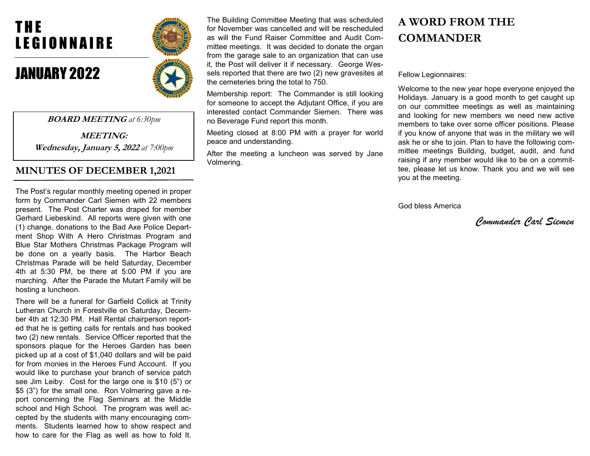# T H E LEGIONNAIRE

## JANUARY 2022



BOARD MEETING at 6:30pm

MEETING: Wednesday, January 5, 2022 at 7:00pm

## MINUTES OF DECEMBER 1,2021

The Post's regular monthly meeting opened in proper form by Commander Carl Siemen with 22 members present. The Post Charter was draped for member Gerhard Liebeskind. All reports were given with one (1) change, donations to the Bad Axe Police Department Shop With A Hero Christmas Program and Blue Star Mothers Christmas Package Program will be done on a yearly basis. The Harbor Beach Christmas Parade will be held Saturday, December 4th at 5:30 PM, be there at 5:00 PM if you are marching. After the Parade the Mutart Family will be hosting a luncheon.

There will be a funeral for Garfield Collick at Trinity Lutheran Church in Forestville on Saturday, December 4th at 12:30 PM. Hall Rental chairperson reported that he is getting calls for rentals and has booked two (2) new rentals. Service Officer reported that the sponsors plaque for the Heroes Garden has been picked up at a cost of \$1,040 dollars and will be paid for from monies in the Heroes Fund Account. If you would like to purchase your branch of service patch see Jim Leiby. Cost for the large one is \$10 (5") or \$5 (3") for the small one. Ron Volmering gave a report concerning the Flag Seminars at the Middle school and High School. The program was well accepted by the students with many encouraging comments. Students learned how to show respect and how to care for the Flag as well as how to fold It.

The Building Committee Meeting that was scheduled for November was cancelled and will be rescheduled as will the Fund Raiser Committee and Audit Committee meetings. It was decided to donate the organ from the garage sale to an organization that can use it, the Post will deliver it if necessary. George Wessels reported that there are two (2) new gravesites at the cemeteries bring the total to 750.

Membership report: The Commander is still looking for someone to accept the Adjutant Office, if you are interested contact Commander Siemen. There was no Beverage Fund report this month.

Meeting closed at 8:00 PM with a prayer for world peace and understanding.

After the meeting a luncheon was served by Jane Volmering.

## A WORD FROM THE COMMANDER

Fellow Legionnaires:

Welcome to the new year hope everyone enjoyed the Holidays. January is a good month to get caught up on our committee meetings as well as maintaining and looking for new members we need new active members to take over some officer positions. Please if you know of anyone that was in the military we will ask he or she to join. Plan to have the following committee meetings Building, budget, audit, and fund raising if any member would like to be on a committee, please let us know. Thank you and we will see you at the meeting.

God bless America

Commander Carl Siemen